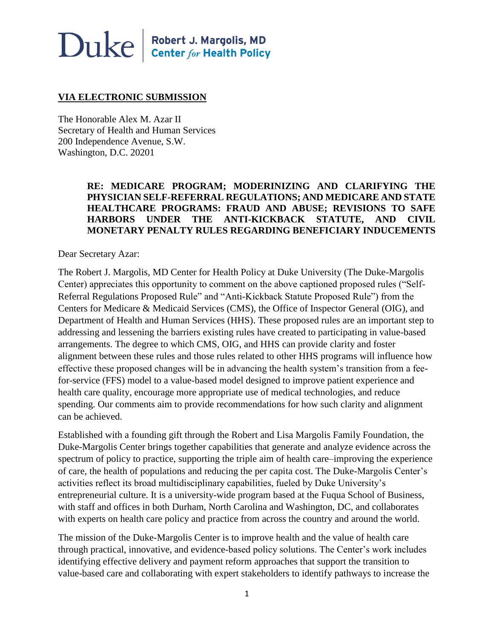## $\bf Duke \parallel^{\text{Robert J. Margolis, MD}}_{\text{Center for Health Policy}}$

#### **VIA ELECTRONIC SUBMISSION**

The Honorable Alex M. Azar II Secretary of Health and Human Services 200 Independence Avenue, S.W. Washington, D.C. 20201

#### **RE: MEDICARE PROGRAM; MODERINIZING AND CLARIFYING THE PHYSICIAN SELF-REFERRAL REGULATIONS; AND MEDICARE AND STATE HEALTHCARE PROGRAMS: FRAUD AND ABUSE; REVISIONS TO SAFE HARBORS UNDER THE ANTI-KICKBACK STATUTE, AND CIVIL MONETARY PENALTY RULES REGARDING BENEFICIARY INDUCEMENTS**

Dear Secretary Azar:

The Robert J. Margolis, MD Center for Health Policy at Duke University (The Duke-Margolis Center) appreciates this opportunity to comment on the above captioned proposed rules ("Self-Referral Regulations Proposed Rule" and "Anti-Kickback Statute Proposed Rule") from the Centers for Medicare & Medicaid Services (CMS), the Office of Inspector General (OIG), and Department of Health and Human Services (HHS). These proposed rules are an important step to addressing and lessening the barriers existing rules have created to participating in value-based arrangements. The degree to which CMS, OIG, and HHS can provide clarity and foster alignment between these rules and those rules related to other HHS programs will influence how effective these proposed changes will be in advancing the health system's transition from a feefor-service (FFS) model to a value-based model designed to improve patient experience and health care quality, encourage more appropriate use of medical technologies, and reduce spending. Our comments aim to provide recommendations for how such clarity and alignment can be achieved.

Established with a founding gift through the Robert and Lisa Margolis Family Foundation, the Duke-Margolis Center brings together capabilities that generate and analyze evidence across the spectrum of policy to practice, supporting the triple aim of health care–improving the experience of care, the health of populations and reducing the per capita cost. The Duke-Margolis Center's activities reflect its broad multidisciplinary capabilities, fueled by Duke University's entrepreneurial culture. It is a university-wide program based at the Fuqua School of Business, with staff and offices in both Durham, North Carolina and Washington, DC, and collaborates with experts on health care policy and practice from across the country and around the world.

The mission of the Duke-Margolis Center is to improve health and the value of health care through practical, innovative, and evidence-based policy solutions. The Center's work includes identifying effective delivery and payment reform approaches that support the transition to value-based care and collaborating with expert stakeholders to identify pathways to increase the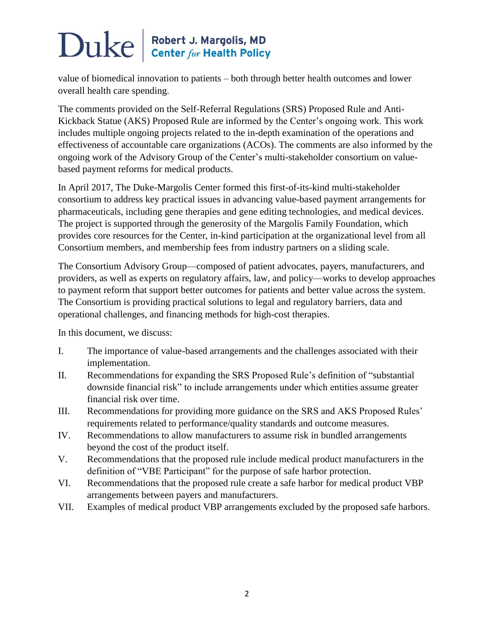value of biomedical innovation to patients – both through better health outcomes and lower overall health care spending.

The comments provided on the Self-Referral Regulations (SRS) Proposed Rule and Anti-Kickback Statue (AKS) Proposed Rule are informed by the Center's ongoing work. This work includes multiple ongoing projects related to the in-depth examination of the operations and effectiveness of accountable care organizations (ACOs). The comments are also informed by the ongoing work of the Advisory Group of the Center's multi-stakeholder consortium on valuebased payment reforms for medical products.

In April 2017, The Duke-Margolis Center formed this first-of-its-kind multi-stakeholder consortium to address key practical issues in advancing value-based payment arrangements for pharmaceuticals, including gene therapies and gene editing technologies, and medical devices. The project is supported through the generosity of the Margolis Family Foundation, which provides core resources for the Center, in-kind participation at the organizational level from all Consortium members, and membership fees from industry partners on a sliding scale.

The Consortium Advisory Group—composed of patient advocates, payers, manufacturers, and providers, as well as experts on regulatory affairs, law, and policy—works to develop approaches to payment reform that support better outcomes for patients and better value across the system. The Consortium is providing practical solutions to legal and regulatory barriers, data and operational challenges, and financing methods for high-cost therapies.

In this document, we discuss:

- I. The importance of value-based arrangements and the challenges associated with their implementation.
- II. Recommendations for expanding the SRS Proposed Rule's definition of "substantial downside financial risk" to include arrangements under which entities assume greater financial risk over time.
- III. Recommendations for providing more guidance on the SRS and AKS Proposed Rules' requirements related to performance/quality standards and outcome measures.
- IV. Recommendations to allow manufacturers to assume risk in bundled arrangements beyond the cost of the product itself.
- V. Recommendations that the proposed rule include medical product manufacturers in the definition of "VBE Participant" for the purpose of safe harbor protection.
- VI. Recommendations that the proposed rule create a safe harbor for medical product VBP arrangements between payers and manufacturers.
- VII. Examples of medical product VBP arrangements excluded by the proposed safe harbors.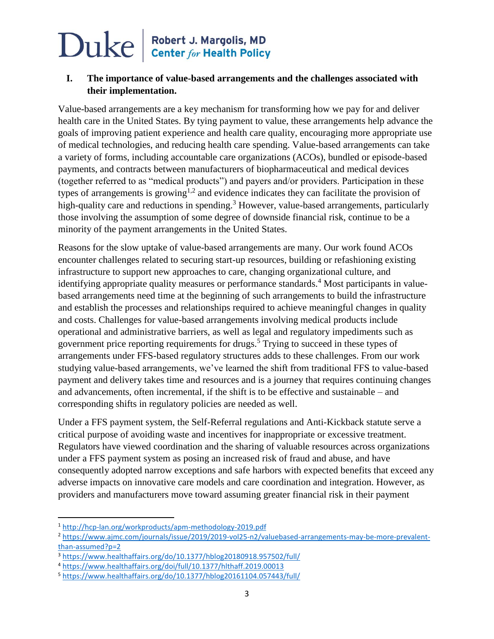## $\bf Duke \parallel^{\text{Robert J. Margolis, MD}}_{\text{Center for Health Policy}}$

#### **I. The importance of value-based arrangements and the challenges associated with their implementation.**

Value-based arrangements are a key mechanism for transforming how we pay for and deliver health care in the United States. By tying payment to value, these arrangements help advance the goals of improving patient experience and health care quality, encouraging more appropriate use of medical technologies, and reducing health care spending. Value-based arrangements can take a variety of forms, including accountable care organizations (ACOs), bundled or episode-based payments, and contracts between manufacturers of biopharmaceutical and medical devices (together referred to as "medical products") and payers and/or providers. Participation in these types of arrangements is growing<sup>1,2</sup> and evidence indicates they can facilitate the provision of high-quality care and reductions in spending.<sup>3</sup> However, value-based arrangements, particularly those involving the assumption of some degree of downside financial risk, continue to be a minority of the payment arrangements in the United States.

Reasons for the slow uptake of value-based arrangements are many. Our work found ACOs encounter challenges related to securing start-up resources, building or refashioning existing infrastructure to support new approaches to care, changing organizational culture, and identifying appropriate quality measures or performance standards.<sup>4</sup> Most participants in valuebased arrangements need time at the beginning of such arrangements to build the infrastructure and establish the processes and relationships required to achieve meaningful changes in quality and costs. Challenges for value-based arrangements involving medical products include operational and administrative barriers, as well as legal and regulatory impediments such as government price reporting requirements for drugs.<sup>5</sup> Trying to succeed in these types of arrangements under FFS-based regulatory structures adds to these challenges. From our work studying value-based arrangements, we've learned the shift from traditional FFS to value-based payment and delivery takes time and resources and is a journey that requires continuing changes and advancements, often incremental, if the shift is to be effective and sustainable – and corresponding shifts in regulatory policies are needed as well.

Under a FFS payment system, the Self-Referral regulations and Anti-Kickback statute serve a critical purpose of avoiding waste and incentives for inappropriate or excessive treatment. Regulators have viewed coordination and the sharing of valuable resources across organizations under a FFS payment system as posing an increased risk of fraud and abuse, and have consequently adopted narrow exceptions and safe harbors with expected benefits that exceed any adverse impacts on innovative care models and care coordination and integration. However, as providers and manufacturers move toward assuming greater financial risk in their payment

l

<sup>1</sup> <http://hcp-lan.org/workproducts/apm-methodology-2019.pdf>

<sup>2</sup> [https://www.ajmc.com/journals/issue/2019/2019-vol25-n2/valuebased-arrangements-may-be-more-prevalent](https://www.ajmc.com/journals/issue/2019/2019-vol25-n2/valuebased-arrangements-may-be-more-prevalent-than-assumed?p=2)[than-assumed?p=2](https://www.ajmc.com/journals/issue/2019/2019-vol25-n2/valuebased-arrangements-may-be-more-prevalent-than-assumed?p=2)

<sup>3</sup> <https://www.healthaffairs.org/do/10.1377/hblog20180918.957502/full/>

<sup>4</sup> <https://www.healthaffairs.org/doi/full/10.1377/hlthaff.2019.00013>

<sup>5</sup> <https://www.healthaffairs.org/do/10.1377/hblog20161104.057443/full/>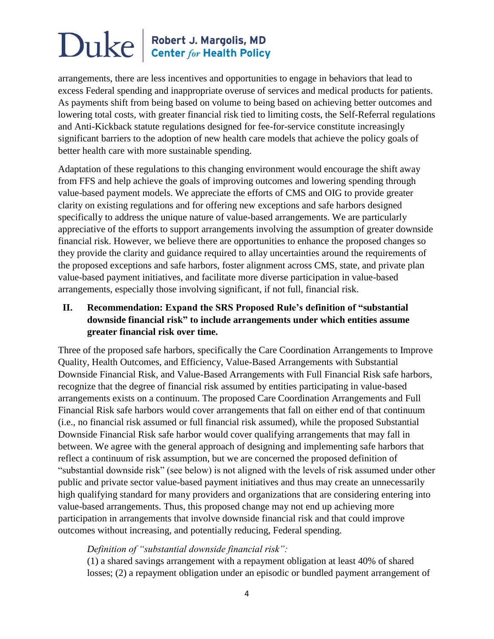arrangements, there are less incentives and opportunities to engage in behaviors that lead to excess Federal spending and inappropriate overuse of services and medical products for patients. As payments shift from being based on volume to being based on achieving better outcomes and lowering total costs, with greater financial risk tied to limiting costs, the Self-Referral regulations and Anti-Kickback statute regulations designed for fee-for-service constitute increasingly significant barriers to the adoption of new health care models that achieve the policy goals of better health care with more sustainable spending.

Adaptation of these regulations to this changing environment would encourage the shift away from FFS and help achieve the goals of improving outcomes and lowering spending through value-based payment models. We appreciate the efforts of CMS and OIG to provide greater clarity on existing regulations and for offering new exceptions and safe harbors designed specifically to address the unique nature of value-based arrangements. We are particularly appreciative of the efforts to support arrangements involving the assumption of greater downside financial risk. However, we believe there are opportunities to enhance the proposed changes so they provide the clarity and guidance required to allay uncertainties around the requirements of the proposed exceptions and safe harbors, foster alignment across CMS, state, and private plan value-based payment initiatives, and facilitate more diverse participation in value-based arrangements, especially those involving significant, if not full, financial risk.

### **II. Recommendation: Expand the SRS Proposed Rule's definition of "substantial downside financial risk" to include arrangements under which entities assume greater financial risk over time.**

Three of the proposed safe harbors, specifically the Care Coordination Arrangements to Improve Quality, Health Outcomes, and Efficiency, Value-Based Arrangements with Substantial Downside Financial Risk, and Value-Based Arrangements with Full Financial Risk safe harbors, recognize that the degree of financial risk assumed by entities participating in value-based arrangements exists on a continuum. The proposed Care Coordination Arrangements and Full Financial Risk safe harbors would cover arrangements that fall on either end of that continuum (i.e., no financial risk assumed or full financial risk assumed), while the proposed Substantial Downside Financial Risk safe harbor would cover qualifying arrangements that may fall in between. We agree with the general approach of designing and implementing safe harbors that reflect a continuum of risk assumption, but we are concerned the proposed definition of "substantial downside risk" (see below) is not aligned with the levels of risk assumed under other public and private sector value-based payment initiatives and thus may create an unnecessarily high qualifying standard for many providers and organizations that are considering entering into value-based arrangements. Thus, this proposed change may not end up achieving more participation in arrangements that involve downside financial risk and that could improve outcomes without increasing, and potentially reducing, Federal spending.

#### *Definition of "substantial downside financial risk":*

(1) a shared savings arrangement with a repayment obligation at least 40% of shared losses; (2) a repayment obligation under an episodic or bundled payment arrangement of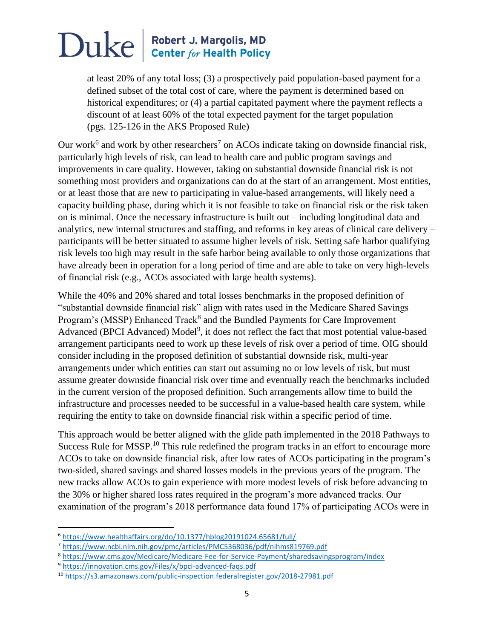at least 20% of any total loss; (3) a prospectively paid population-based payment for a defined subset of the total cost of care, where the payment is determined based on historical expenditures; or (4) a partial capitated payment where the payment reflects a discount of at least 60% of the total expected payment for the target population (pgs. 125-126 in the AKS Proposed Rule)

Our work<sup>6</sup> and work by other researchers<sup>7</sup> on ACOs indicate taking on downside financial risk, particularly high levels of risk, can lead to health care and public program savings and improvements in care quality. However, taking on substantial downside financial risk is not something most providers and organizations can do at the start of an arrangement. Most entities, or at least those that are new to participating in value-based arrangements, will likely need a capacity building phase, during which it is not feasible to take on financial risk or the risk taken on is minimal. Once the necessary infrastructure is built out – including longitudinal data and analytics, new internal structures and staffing, and reforms in key areas of clinical care delivery – participants will be better situated to assume higher levels of risk. Setting safe harbor qualifying risk levels too high may result in the safe harbor being available to only those organizations that have already been in operation for a long period of time and are able to take on very high-levels of financial risk (e.g., ACOs associated with large health systems).

While the 40% and 20% shared and total losses benchmarks in the proposed definition of "substantial downside financial risk" align with rates used in the Medicare Shared Savings Program's (MSSP) Enhanced Track<sup>8</sup> and the Bundled Payments for Care Improvement Advanced (BPCI Advanced) Model<sup>9</sup>, it does not reflect the fact that most potential value-based arrangement participants need to work up these levels of risk over a period of time. OIG should consider including in the proposed definition of substantial downside risk, multi-year arrangements under which entities can start out assuming no or low levels of risk, but must assume greater downside financial risk over time and eventually reach the benchmarks included in the current version of the proposed definition. Such arrangements allow time to build the infrastructure and processes needed to be successful in a value-based health care system, while requiring the entity to take on downside financial risk within a specific period of time.

This approach would be better aligned with the glide path implemented in the 2018 Pathways to Success Rule for MSSP.<sup>10</sup> This rule redefined the program tracks in an effort to encourage more ACOs to take on downside financial risk, after low rates of ACOs participating in the program's two-sided, shared savings and shared losses models in the previous years of the program. The new tracks allow ACOs to gain experience with more modest levels of risk before advancing to the 30% or higher shared loss rates required in the program's more advanced tracks. Our examination of the program's 2018 performance data found 17% of participating ACOs were in

 $\overline{\phantom{a}}$ 

<sup>6</sup> <https://www.healthaffairs.org/do/10.1377/hblog20191024.65681/full/>

<sup>7</sup> <https://www.ncbi.nlm.nih.gov/pmc/articles/PMC5368036/pdf/nihms819769.pdf>

<sup>8</sup> <https://www.cms.gov/Medicare/Medicare-Fee-for-Service-Payment/sharedsavingsprogram/index>

<sup>9</sup> <https://innovation.cms.gov/Files/x/bpci-advanced-faqs.pdf>

<sup>10</sup> <https://s3.amazonaws.com/public-inspection.federalregister.gov/2018-27981.pdf>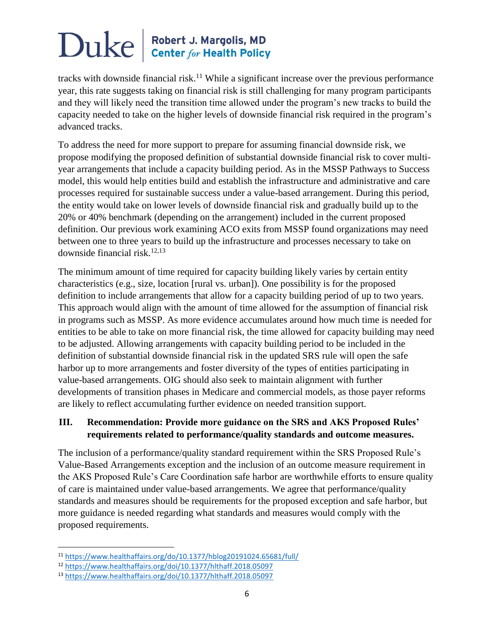tracks with downside financial risk.<sup>11</sup> While a significant increase over the previous performance year, this rate suggests taking on financial risk is still challenging for many program participants and they will likely need the transition time allowed under the program's new tracks to build the capacity needed to take on the higher levels of downside financial risk required in the program's advanced tracks.

To address the need for more support to prepare for assuming financial downside risk, we propose modifying the proposed definition of substantial downside financial risk to cover multiyear arrangements that include a capacity building period. As in the MSSP Pathways to Success model, this would help entities build and establish the infrastructure and administrative and care processes required for sustainable success under a value-based arrangement. During this period, the entity would take on lower levels of downside financial risk and gradually build up to the 20% or 40% benchmark (depending on the arrangement) included in the current proposed definition. Our previous work examining ACO exits from MSSP found organizations may need between one to three years to build up the infrastructure and processes necessary to take on downside financial risk. $12,13$ 

The minimum amount of time required for capacity building likely varies by certain entity characteristics (e.g., size, location [rural vs. urban]). One possibility is for the proposed definition to include arrangements that allow for a capacity building period of up to two years. This approach would align with the amount of time allowed for the assumption of financial risk in programs such as MSSP. As more evidence accumulates around how much time is needed for entities to be able to take on more financial risk, the time allowed for capacity building may need to be adjusted. Allowing arrangements with capacity building period to be included in the definition of substantial downside financial risk in the updated SRS rule will open the safe harbor up to more arrangements and foster diversity of the types of entities participating in value-based arrangements. OIG should also seek to maintain alignment with further developments of transition phases in Medicare and commercial models, as those payer reforms are likely to reflect accumulating further evidence on needed transition support.

### **III. Recommendation: Provide more guidance on the SRS and AKS Proposed Rules' requirements related to performance/quality standards and outcome measures.**

The inclusion of a performance/quality standard requirement within the SRS Proposed Rule's Value-Based Arrangements exception and the inclusion of an outcome measure requirement in the AKS Proposed Rule's Care Coordination safe harbor are worthwhile efforts to ensure quality of care is maintained under value-based arrangements. We agree that performance/quality standards and measures should be requirements for the proposed exception and safe harbor, but more guidance is needed regarding what standards and measures would comply with the proposed requirements.

 $\overline{a}$ 

<sup>11</sup> <https://www.healthaffairs.org/do/10.1377/hblog20191024.65681/full/>

<sup>12</sup> <https://www.healthaffairs.org/doi/10.1377/hlthaff.2018.05097>

<sup>13</sup> <https://www.healthaffairs.org/doi/10.1377/hlthaff.2018.05097>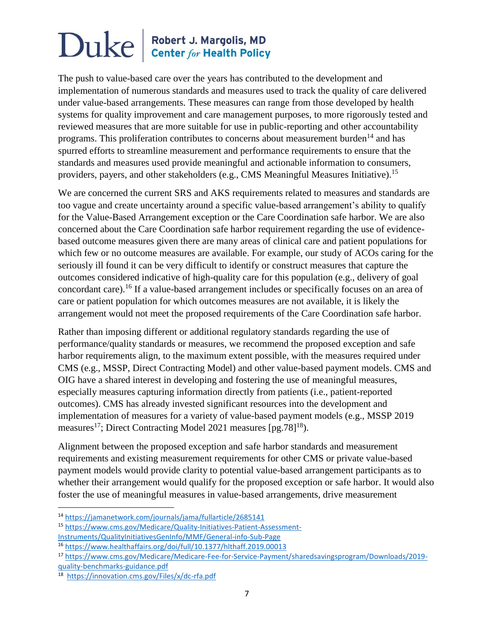The push to value-based care over the years has contributed to the development and implementation of numerous standards and measures used to track the quality of care delivered under value-based arrangements. These measures can range from those developed by health systems for quality improvement and care management purposes, to more rigorously tested and reviewed measures that are more suitable for use in public-reporting and other accountability programs. This proliferation contributes to concerns about measurement burden<sup>14</sup> and has spurred efforts to streamline measurement and performance requirements to ensure that the standards and measures used provide meaningful and actionable information to consumers, providers, payers, and other stakeholders (e.g., CMS Meaningful Measures Initiative).<sup>15</sup>

We are concerned the current SRS and AKS requirements related to measures and standards are too vague and create uncertainty around a specific value-based arrangement's ability to qualify for the Value-Based Arrangement exception or the Care Coordination safe harbor. We are also concerned about the Care Coordination safe harbor requirement regarding the use of evidencebased outcome measures given there are many areas of clinical care and patient populations for which few or no outcome measures are available. For example, our study of ACOs caring for the seriously ill found it can be very difficult to identify or construct measures that capture the outcomes considered indicative of high-quality care for this population (e.g., delivery of goal concordant care).<sup>16</sup> If a value-based arrangement includes or specifically focuses on an area of care or patient population for which outcomes measures are not available, it is likely the arrangement would not meet the proposed requirements of the Care Coordination safe harbor.

Rather than imposing different or additional regulatory standards regarding the use of performance/quality standards or measures, we recommend the proposed exception and safe harbor requirements align, to the maximum extent possible, with the measures required under CMS (e.g., MSSP, Direct Contracting Model) and other value-based payment models. CMS and OIG have a shared interest in developing and fostering the use of meaningful measures, especially measures capturing information directly from patients (i.e., patient-reported outcomes). CMS has already invested significant resources into the development and implementation of measures for a variety of value-based payment models (e.g., MSSP 2019 measures<sup>17</sup>; Direct Contracting Model 2021 measures [pg.78]<sup>18</sup>).

Alignment between the proposed exception and safe harbor standards and measurement requirements and existing measurement requirements for other CMS or private value-based payment models would provide clarity to potential value-based arrangement participants as to whether their arrangement would qualify for the proposed exception or safe harbor. It would also foster the use of meaningful measures in value-based arrangements, drive measurement

 $\overline{\phantom{a}}$ 

<sup>14</sup> <https://jamanetwork.com/journals/jama/fullarticle/2685141>

<sup>15</sup> [https://www.cms.gov/Medicare/Quality-Initiatives-Patient-Assessment-](https://www.cms.gov/Medicare/Quality-Initiatives-Patient-Assessment-Instruments/QualityInitiativesGenInfo/MMF/General-info-Sub-Page)[Instruments/QualityInitiativesGenInfo/MMF/General-info-Sub-Page](https://www.cms.gov/Medicare/Quality-Initiatives-Patient-Assessment-Instruments/QualityInitiativesGenInfo/MMF/General-info-Sub-Page)

<sup>16</sup> <https://www.healthaffairs.org/doi/full/10.1377/hlthaff.2019.00013>

<sup>17</sup> [https://www.cms.gov/Medicare/Medicare-Fee-for-Service-Payment/sharedsavingsprogram/Downloads/2019](https://www.cms.gov/Medicare/Medicare-Fee-for-Service-Payment/sharedsavingsprogram/Downloads/2019-quality-benchmarks-guidance.pdf) [quality-benchmarks-guidance.pdf](https://www.cms.gov/Medicare/Medicare-Fee-for-Service-Payment/sharedsavingsprogram/Downloads/2019-quality-benchmarks-guidance.pdf)

<sup>18</sup> <https://innovation.cms.gov/Files/x/dc-rfa.pdf>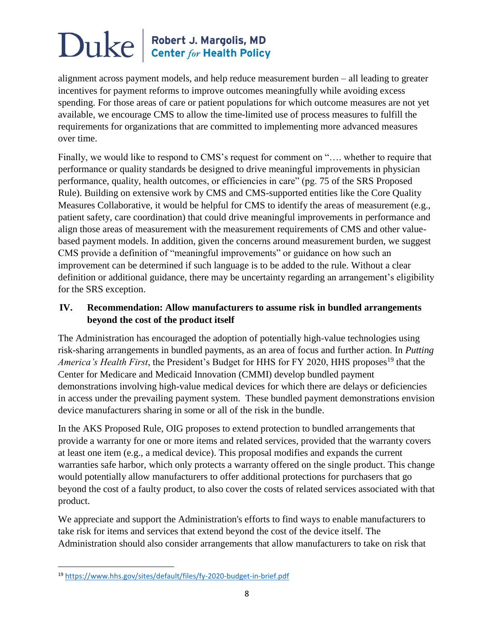alignment across payment models, and help reduce measurement burden – all leading to greater incentives for payment reforms to improve outcomes meaningfully while avoiding excess spending. For those areas of care or patient populations for which outcome measures are not yet available, we encourage CMS to allow the time-limited use of process measures to fulfill the requirements for organizations that are committed to implementing more advanced measures over time.

Finally, we would like to respond to CMS's request for comment on "…. whether to require that performance or quality standards be designed to drive meaningful improvements in physician performance, quality, health outcomes, or efficiencies in care" (pg. 75 of the SRS Proposed Rule). Building on extensive work by CMS and CMS-supported entities like the Core Quality Measures Collaborative, it would be helpful for CMS to identify the areas of measurement (e.g., patient safety, care coordination) that could drive meaningful improvements in performance and align those areas of measurement with the measurement requirements of CMS and other valuebased payment models. In addition, given the concerns around measurement burden, we suggest CMS provide a definition of "meaningful improvements" or guidance on how such an improvement can be determined if such language is to be added to the rule. Without a clear definition or additional guidance, there may be uncertainty regarding an arrangement's eligibility for the SRS exception.

### **IV. Recommendation: Allow manufacturers to assume risk in bundled arrangements beyond the cost of the product itself**

The Administration has encouraged the adoption of potentially high-value technologies using risk-sharing arrangements in bundled payments, as an area of focus and further action. In *Putting America's Health First*, the President's Budget for HHS for FY 2020, HHS proposes<sup>19</sup> that the Center for Medicare and Medicaid Innovation (CMMI) develop bundled payment demonstrations involving high-value medical devices for which there are delays or deficiencies in access under the prevailing payment system. These bundled payment demonstrations envision device manufacturers sharing in some or all of the risk in the bundle.

In the AKS Proposed Rule, OIG proposes to extend protection to bundled arrangements that provide a warranty for one or more items and related services, provided that the warranty covers at least one item (e.g., a medical device). This proposal modifies and expands the current warranties safe harbor, which only protects a warranty offered on the single product. This change would potentially allow manufacturers to offer additional protections for purchasers that go beyond the cost of a faulty product, to also cover the costs of related services associated with that product.

We appreciate and support the Administration's efforts to find ways to enable manufacturers to take risk for items and services that extend beyond the cost of the device itself. The Administration should also consider arrangements that allow manufacturers to take on risk that

 $\overline{\phantom{a}}$ 

<sup>19</sup> <https://www.hhs.gov/sites/default/files/fy-2020-budget-in-brief.pdf>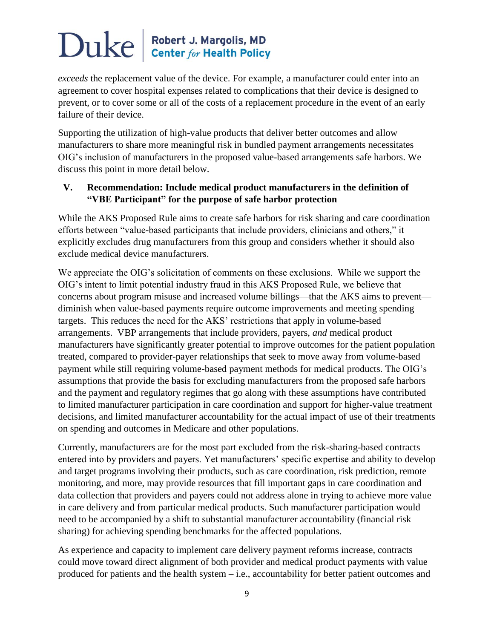*exceeds* the replacement value of the device. For example, a manufacturer could enter into an agreement to cover hospital expenses related to complications that their device is designed to prevent, or to cover some or all of the costs of a replacement procedure in the event of an early failure of their device.

Supporting the utilization of high-value products that deliver better outcomes and allow manufacturers to share more meaningful risk in bundled payment arrangements necessitates OIG's inclusion of manufacturers in the proposed value-based arrangements safe harbors. We discuss this point in more detail below.

#### **V. Recommendation: Include medical product manufacturers in the definition of "VBE Participant" for the purpose of safe harbor protection**

While the AKS Proposed Rule aims to create safe harbors for risk sharing and care coordination efforts between "value-based participants that include providers, clinicians and others," it explicitly excludes drug manufacturers from this group and considers whether it should also exclude medical device manufacturers.

We appreciate the OIG's solicitation of comments on these exclusions. While we support the OIG's intent to limit potential industry fraud in this AKS Proposed Rule, we believe that concerns about program misuse and increased volume billings—that the AKS aims to prevent diminish when value-based payments require outcome improvements and meeting spending targets. This reduces the need for the AKS' restrictions that apply in volume-based arrangements. VBP arrangements that include providers, payers, *and* medical product manufacturers have significantly greater potential to improve outcomes for the patient population treated, compared to provider-payer relationships that seek to move away from volume-based payment while still requiring volume-based payment methods for medical products. The OIG's assumptions that provide the basis for excluding manufacturers from the proposed safe harbors and the payment and regulatory regimes that go along with these assumptions have contributed to limited manufacturer participation in care coordination and support for higher-value treatment decisions, and limited manufacturer accountability for the actual impact of use of their treatments on spending and outcomes in Medicare and other populations.

Currently, manufacturers are for the most part excluded from the risk-sharing-based contracts entered into by providers and payers. Yet manufacturers' specific expertise and ability to develop and target programs involving their products, such as care coordination, risk prediction, remote monitoring, and more, may provide resources that fill important gaps in care coordination and data collection that providers and payers could not address alone in trying to achieve more value in care delivery and from particular medical products. Such manufacturer participation would need to be accompanied by a shift to substantial manufacturer accountability (financial risk sharing) for achieving spending benchmarks for the affected populations.

As experience and capacity to implement care delivery payment reforms increase, contracts could move toward direct alignment of both provider and medical product payments with value produced for patients and the health system – i.e., accountability for better patient outcomes and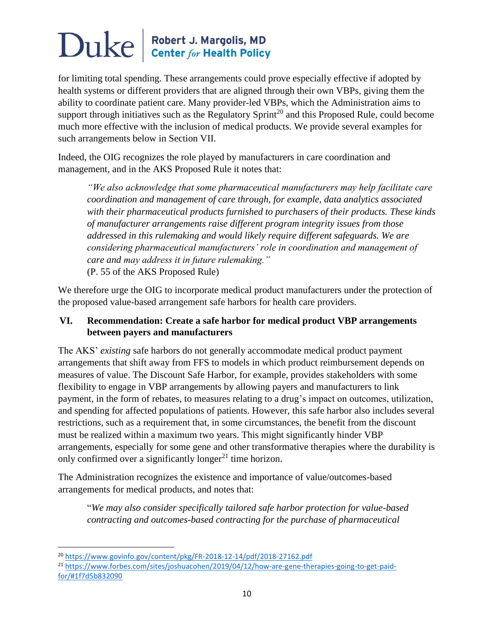for limiting total spending. These arrangements could prove especially effective if adopted by health systems or different providers that are aligned through their own VBPs, giving them the ability to coordinate patient care. Many provider-led VBPs, which the Administration aims to support through initiatives such as the Regulatory Sprint<sup>20</sup> and this Proposed Rule, could become much more effective with the inclusion of medical products. We provide several examples for such arrangements below in Section VII.

Indeed, the OIG recognizes the role played by manufacturers in care coordination and management, and in the AKS Proposed Rule it notes that:

*"We also acknowledge that some pharmaceutical manufacturers may help facilitate care coordination and management of care through, for example, data analytics associated with their pharmaceutical products furnished to purchasers of their products. These kinds of manufacturer arrangements raise different program integrity issues from those addressed in this rulemaking and would likely require different safeguards. We are considering pharmaceutical manufacturers' role in coordination and management of care and may address it in future rulemaking."*  (P. 55 of the AKS Proposed Rule)

We therefore urge the OIG to incorporate medical product manufacturers under the protection of the proposed value-based arrangement safe harbors for health care providers.

### **VI. Recommendation: Create a safe harbor for medical product VBP arrangements between payers and manufacturers**

The AKS' *existing* safe harbors do not generally accommodate medical product payment arrangements that shift away from FFS to models in which product reimbursement depends on measures of value. The Discount Safe Harbor, for example, provides stakeholders with some flexibility to engage in VBP arrangements by allowing payers and manufacturers to link payment, in the form of rebates, to measures relating to a drug's impact on outcomes, utilization, and spending for affected populations of patients. However, this safe harbor also includes several restrictions, such as a requirement that, in some circumstances, the benefit from the discount must be realized within a maximum two years. This might significantly hinder VBP arrangements, especially for some gene and other transformative therapies where the durability is only confirmed over a significantly longer $^{21}$  time horizon.

The Administration recognizes the existence and importance of value/outcomes-based arrangements for medical products, and notes that:

"*We may also consider specifically tailored safe harbor protection for value-based contracting and outcomes-based contracting for the purchase of pharmaceutical* 

 $\overline{a}$ 

<sup>20</sup> <https://www.govinfo.gov/content/pkg/FR-2018-12-14/pdf/2018-27162.pdf>

<sup>21</sup> [https://www.forbes.com/sites/joshuacohen/2019/04/12/how-are-gene-therapies-going-to-get-paid](https://www.forbes.com/sites/joshuacohen/2019/04/12/how-are-gene-therapies-going-to-get-paid-for/#1f7d5b832090)[for/#1f7d5b832090](https://www.forbes.com/sites/joshuacohen/2019/04/12/how-are-gene-therapies-going-to-get-paid-for/#1f7d5b832090)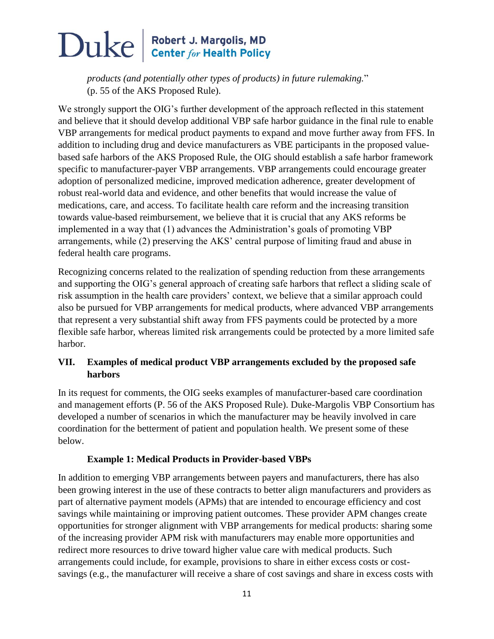*products (and potentially other types of products) in future rulemaking.*" (p. 55 of the AKS Proposed Rule).

We strongly support the OIG's further development of the approach reflected in this statement and believe that it should develop additional VBP safe harbor guidance in the final rule to enable VBP arrangements for medical product payments to expand and move further away from FFS. In addition to including drug and device manufacturers as VBE participants in the proposed valuebased safe harbors of the AKS Proposed Rule, the OIG should establish a safe harbor framework specific to manufacturer-payer VBP arrangements. VBP arrangements could encourage greater adoption of personalized medicine, improved medication adherence, greater development of robust real-world data and evidence, and other benefits that would increase the value of medications, care, and access. To facilitate health care reform and the increasing transition towards value-based reimbursement, we believe that it is crucial that any AKS reforms be implemented in a way that (1) advances the Administration's goals of promoting VBP arrangements, while (2) preserving the AKS' central purpose of limiting fraud and abuse in federal health care programs.

Recognizing concerns related to the realization of spending reduction from these arrangements and supporting the OIG's general approach of creating safe harbors that reflect a sliding scale of risk assumption in the health care providers' context, we believe that a similar approach could also be pursued for VBP arrangements for medical products, where advanced VBP arrangements that represent a very substantial shift away from FFS payments could be protected by a more flexible safe harbor, whereas limited risk arrangements could be protected by a more limited safe harbor.

### **VII. Examples of medical product VBP arrangements excluded by the proposed safe harbors**

In its request for comments, the OIG seeks examples of manufacturer-based care coordination and management efforts (P. 56 of the AKS Proposed Rule). Duke-Margolis VBP Consortium has developed a number of scenarios in which the manufacturer may be heavily involved in care coordination for the betterment of patient and population health. We present some of these below.

#### **Example 1: Medical Products in Provider-based VBPs**

In addition to emerging VBP arrangements between payers and manufacturers, there has also been growing interest in the use of these contracts to better align manufacturers and providers as part of alternative payment models (APMs) that are intended to encourage efficiency and cost savings while maintaining or improving patient outcomes. These provider APM changes create opportunities for stronger alignment with VBP arrangements for medical products: sharing some of the increasing provider APM risk with manufacturers may enable more opportunities and redirect more resources to drive toward higher value care with medical products. Such arrangements could include, for example, provisions to share in either excess costs or costsavings (e.g., the manufacturer will receive a share of cost savings and share in excess costs with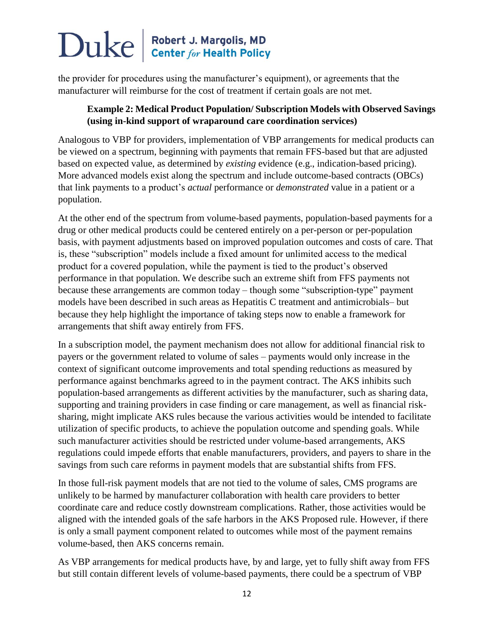the provider for procedures using the manufacturer's equipment), or agreements that the manufacturer will reimburse for the cost of treatment if certain goals are not met.

#### **Example 2: Medical Product Population/ Subscription Models with Observed Savings (using in-kind support of wraparound care coordination services)**

Analogous to VBP for providers, implementation of VBP arrangements for medical products can be viewed on a spectrum, beginning with payments that remain FFS-based but that are adjusted based on expected value, as determined by *existing* evidence (e.g., indication-based pricing). More advanced models exist along the spectrum and include outcome-based contracts (OBCs) that link payments to a product's *actual* performance or *demonstrated* value in a patient or a population.

At the other end of the spectrum from volume-based payments, population-based payments for a drug or other medical products could be centered entirely on a per-person or per-population basis, with payment adjustments based on improved population outcomes and costs of care. That is, these "subscription" models include a fixed amount for unlimited access to the medical product for a covered population, while the payment is tied to the product's observed performance in that population. We describe such an extreme shift from FFS payments not because these arrangements are common today – though some "subscription-type" payment models have been described in such areas as Hepatitis C treatment and antimicrobials– but because they help highlight the importance of taking steps now to enable a framework for arrangements that shift away entirely from FFS.

In a subscription model, the payment mechanism does not allow for additional financial risk to payers or the government related to volume of sales – payments would only increase in the context of significant outcome improvements and total spending reductions as measured by performance against benchmarks agreed to in the payment contract. The AKS inhibits such population-based arrangements as different activities by the manufacturer, such as sharing data, supporting and training providers in case finding or care management, as well as financial risksharing, might implicate AKS rules because the various activities would be intended to facilitate utilization of specific products, to achieve the population outcome and spending goals. While such manufacturer activities should be restricted under volume-based arrangements, AKS regulations could impede efforts that enable manufacturers, providers, and payers to share in the savings from such care reforms in payment models that are substantial shifts from FFS.

In those full-risk payment models that are not tied to the volume of sales, CMS programs are unlikely to be harmed by manufacturer collaboration with health care providers to better coordinate care and reduce costly downstream complications. Rather, those activities would be aligned with the intended goals of the safe harbors in the AKS Proposed rule. However, if there is only a small payment component related to outcomes while most of the payment remains volume-based, then AKS concerns remain.

As VBP arrangements for medical products have, by and large, yet to fully shift away from FFS but still contain different levels of volume-based payments, there could be a spectrum of VBP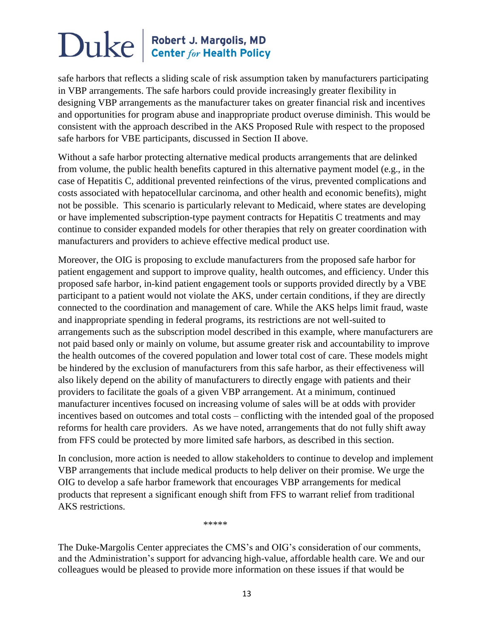safe harbors that reflects a sliding scale of risk assumption taken by manufacturers participating in VBP arrangements. The safe harbors could provide increasingly greater flexibility in designing VBP arrangements as the manufacturer takes on greater financial risk and incentives and opportunities for program abuse and inappropriate product overuse diminish. This would be consistent with the approach described in the AKS Proposed Rule with respect to the proposed safe harbors for VBE participants, discussed in Section II above.

Without a safe harbor protecting alternative medical products arrangements that are delinked from volume, the public health benefits captured in this alternative payment model (e.g., in the case of Hepatitis C, additional prevented reinfections of the virus, prevented complications and costs associated with hepatocellular carcinoma, and other health and economic benefits), might not be possible. This scenario is particularly relevant to Medicaid, where states are developing or have implemented subscription-type payment contracts for Hepatitis C treatments and may continue to consider expanded models for other therapies that rely on greater coordination with manufacturers and providers to achieve effective medical product use.

Moreover, the OIG is proposing to exclude manufacturers from the proposed safe harbor for patient engagement and support to improve quality, health outcomes, and efficiency. Under this proposed safe harbor, in-kind patient engagement tools or supports provided directly by a VBE participant to a patient would not violate the AKS, under certain conditions, if they are directly connected to the coordination and management of care. While the AKS helps limit fraud, waste and inappropriate spending in federal programs, its restrictions are not well-suited to arrangements such as the subscription model described in this example, where manufacturers are not paid based only or mainly on volume, but assume greater risk and accountability to improve the health outcomes of the covered population and lower total cost of care. These models might be hindered by the exclusion of manufacturers from this safe harbor, as their effectiveness will also likely depend on the ability of manufacturers to directly engage with patients and their providers to facilitate the goals of a given VBP arrangement. At a minimum, continued manufacturer incentives focused on increasing volume of sales will be at odds with provider incentives based on outcomes and total costs – conflicting with the intended goal of the proposed reforms for health care providers. As we have noted, arrangements that do not fully shift away from FFS could be protected by more limited safe harbors, as described in this section.

In conclusion, more action is needed to allow stakeholders to continue to develop and implement VBP arrangements that include medical products to help deliver on their promise. We urge the OIG to develop a safe harbor framework that encourages VBP arrangements for medical products that represent a significant enough shift from FFS to warrant relief from traditional AKS restrictions.

\*\*\*\*\*

The Duke-Margolis Center appreciates the CMS's and OIG's consideration of our comments, and the Administration's support for advancing high-value, affordable health care. We and our colleagues would be pleased to provide more information on these issues if that would be